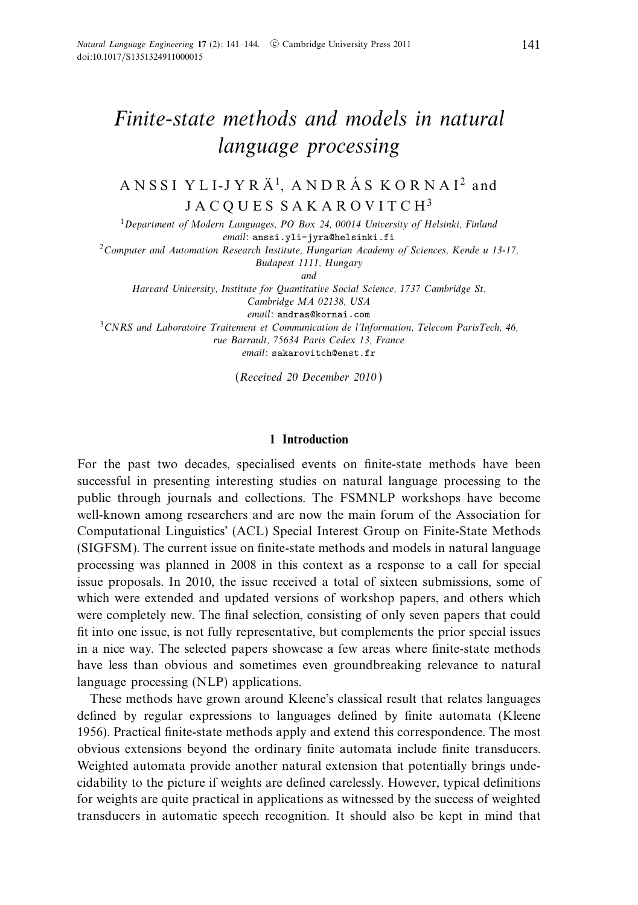# Finite-state methods and models in natural language processing

# A N S S I Y L I-J Y R  $\AA$ <sup>1</sup>, A N D R  $\AA$  S K O R N A I<sup>2</sup> and JACQUES SAKAROVITCH<sup>3</sup>

<sup>1</sup>Department of Modern Languages, PO Box 24, 00014 University of Helsinki, Finland email: anssi.yli-jyra@helsinki.fi <sup>2</sup> Computer and Automation Research Institute, Hungarian Academy of Sciences, Kende u 13-17, Budapest 1111, Hungary and Harvard University, Institute for Quantitative Social Science, 1737 Cambridge St, Cambridge MA 02138, USA email: andras@kornai.com <sup>3</sup>CNRS and Laboratoire Traitement et Communication de l'Information, Telecom ParisTech, 46, rue Barrault, 75634 Paris Cedex 13, France

email: sakarovitch@enst.fr

(Received 20 December 2010 )

## **1 Introduction**

For the past two decades, specialised events on finite-state methods have been successful in presenting interesting studies on natural language processing to the public through journals and collections. The FSMNLP workshops have become well-known among researchers and are now the main forum of the Association for Computational Linguistics' (ACL) Special Interest Group on Finite-State Methods (SIGFSM). The current issue on finite-state methods and models in natural language processing was planned in 2008 in this context as a response to a call for special issue proposals. In 2010, the issue received a total of sixteen submissions, some of which were extended and updated versions of workshop papers, and others which were completely new. The final selection, consisting of only seven papers that could fit into one issue, is not fully representative, but complements the prior special issues in a nice way. The selected papers showcase a few areas where finite-state methods have less than obvious and sometimes even groundbreaking relevance to natural language processing (NLP) applications.

These methods have grown around Kleene's classical result that relates languages defined by regular expressions to languages defined by finite automata (Kleene 1956). Practical finite-state methods apply and extend this correspondence. The most obvious extensions beyond the ordinary finite automata include finite transducers. Weighted automata provide another natural extension that potentially brings undecidability to the picture if weights are defined carelessly. However, typical definitions for weights are quite practical in applications as witnessed by the success of weighted transducers in automatic speech recognition. It should also be kept in mind that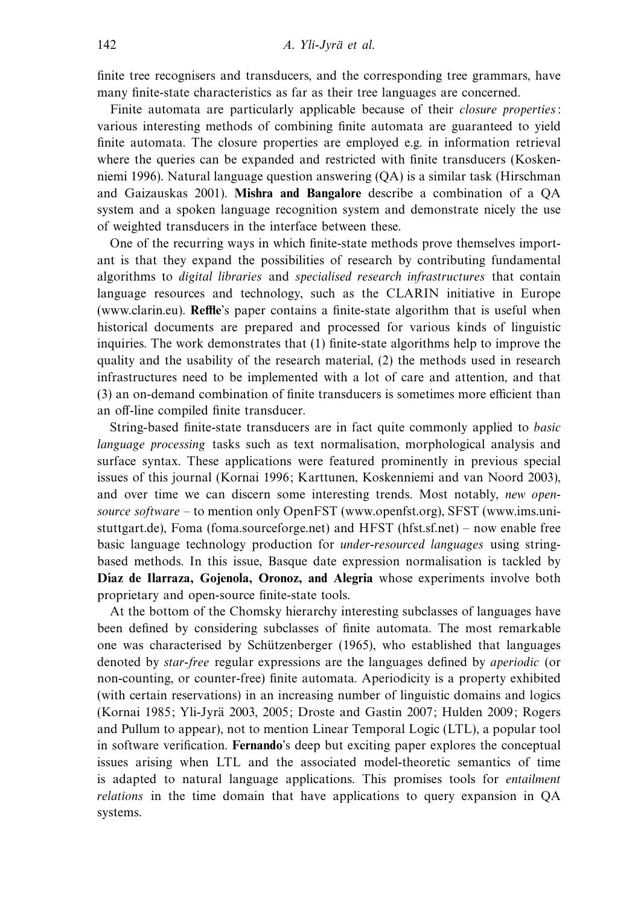finite tree recognisers and transducers, and the corresponding tree grammars, have many finite-state characteristics as far as their tree languages are concerned.

Finite automata are particularly applicable because of their *closure properties*: various interesting methods of combining finite automata are guaranteed to yield finite automata. The closure properties are employed e.g. in information retrieval where the queries can be expanded and restricted with finite transducers (Koskenniemi 1996). Natural language question answering (QA) is a similar task (Hirschman and Gaizauskas 2001). **Mishra and Bangalore** describe a combination of a QA system and a spoken language recognition system and demonstrate nicely the use of weighted transducers in the interface between these.

One of the recurring ways in which finite-state methods prove themselves important is that they expand the possibilities of research by contributing fundamental algorithms to digital libraries and specialised research infrastructures that contain language resources and technology, such as the CLARIN initiative in Europe (www.clarin.eu). **Reffle**'s paper contains a finite-state algorithm that is useful when historical documents are prepared and processed for various kinds of linguistic inquiries. The work demonstrates that (1) finite-state algorithms help to improve the quality and the usability of the research material, (2) the methods used in research infrastructures need to be implemented with a lot of care and attention, and that (3) an on-demand combination of finite transducers is sometimes more efficient than an off-line compiled finite transducer.

String-based finite-state transducers are in fact quite commonly applied to basic language processing tasks such as text normalisation, morphological analysis and surface syntax. These applications were featured prominently in previous special issues of this journal (Kornai 1996; Karttunen, Koskenniemi and van Noord 2003), and over time we can discern some interesting trends. Most notably, *new open*source software – to mention only OpenFST (www.openfst.org), SFST (www.ims.unistuttgart.de), Foma (foma.sourceforge.net) and HFST (hfst.sf.net) – now enable free basic language technology production for under-resourced languages using stringbased methods. In this issue, Basque date expression normalisation is tackled by Díaz de Ilarraza, Gojenola, Oronoz, and Alegria whose experiments involve both proprietary and open-source finite-state tools.

At the bottom of the Chomsky hierarchy interesting subclasses of languages have been defined by considering subclasses of finite automata. The most remarkable one was characterised by Schützenberger (1965), who established that languages denoted by star-free regular expressions are the languages defined by aperiodic (or non-counting, or counter-free) finite automata. Aperiodicity is a property exhibited (with certain reservations) in an increasing number of linguistic domains and logics (Kornai 1985; Yli-Jyrä 2003, 2005; Droste and Gastin 2007; Hulden 2009; Rogers and Pullum to appear), not to mention Linear Temporal Logic (LTL), a popular tool in software verification. **Fernando**'s deep but exciting paper explores the conceptual issues arising when LTL and the associated model-theoretic semantics of time is adapted to natural language applications. This promises tools for entailment relations in the time domain that have applications to query expansion in QA systems.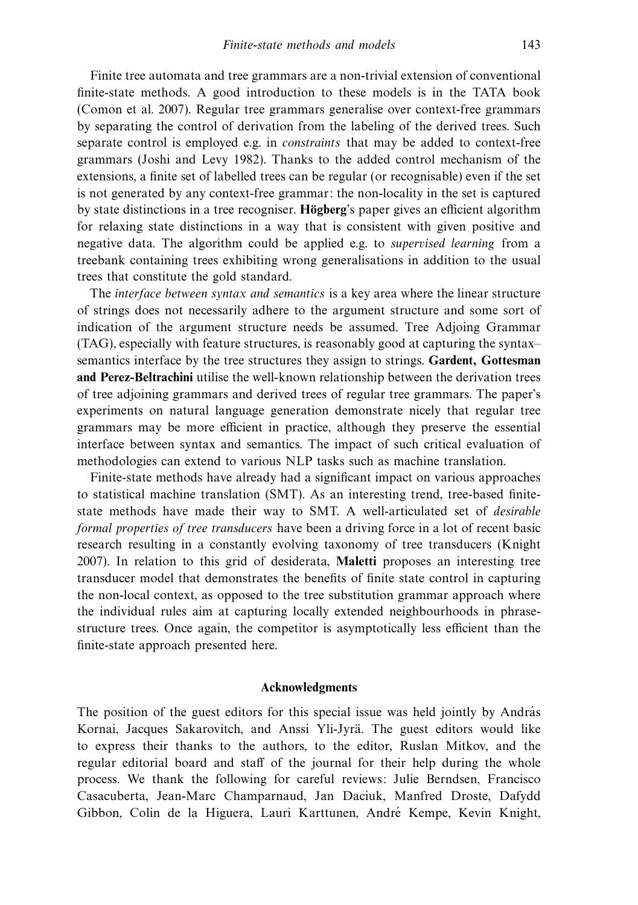Finite tree automata and tree grammars are a non-trivial extension of conventional finite-state methods. A good introduction to these models is in the TATA book (Comon et al. 2007). Regular tree grammars generalise over context-free grammars by separating the control of derivation from the labeling of the derived trees. Such separate control is employed e.g. in constraints that may be added to context-free grammars (Joshi and Levy 1982). Thanks to the added control mechanism of the extensions, a finite set of labelled trees can be regular (or recognisable) even if the set is not generated by any context-free grammar: the non-locality in the set is captured by state distinctions in a tree recogniser. **Högberg**'s paper gives an efficient algorithm for relaxing state distinctions in a way that is consistent with given positive and negative data. The algorithm could be applied e.g. to supervised learning from a treebank containing trees exhibiting wrong generalisations in addition to the usual trees that constitute the gold standard.

The *interface between syntax and semantics* is a key area where the linear structure of strings does not necessarily adhere to the argument structure and some sort of indication of the argument structure needs be assumed. Tree Adjoing Grammar (TAG), especially with feature structures, is reasonably good at capturing the syntax– semantics interface by the tree structures they assign to strings. **Gardent, Gottesman and Perez-Beltrachini** utilise the well-known relationship between the derivation trees of tree adjoining grammars and derived trees of regular tree grammars. The paper's experiments on natural language generation demonstrate nicely that regular tree grammars may be more efficient in practice, although they preserve the essential interface between syntax and semantics. The impact of such critical evaluation of methodologies can extend to various NLP tasks such as machine translation.

Finite-state methods have already had a significant impact on various approaches to statistical machine translation (SMT). As an interesting trend, tree-based finitestate methods have made their way to SMT. A well-articulated set of desirable formal properties of tree transducers have been a driving force in a lot of recent basic research resulting in a constantly evolving taxonomy of tree transducers (Knight 2007). In relation to this grid of desiderata, **Maletti** proposes an interesting tree transducer model that demonstrates the benefits of finite state control in capturing the non-local context, as opposed to the tree substitution grammar approach where the individual rules aim at capturing locally extended neighbourhoods in phrasestructure trees. Once again, the competitor is asymptotically less efficient than the finite-state approach presented here.

### **Acknowledgments**

The position of the guest editors for this special issue was held jointly by András Kornai, Jacques Sakarovitch, and Anssi Yli-Jyrä. The guest editors would like to express their thanks to the authors, to the editor, Ruslan Mitkov, and the regular editorial board and staff of the journal for their help during the whole process. We thank the following for careful reviews: Julie Berndsen, Francisco Casacuberta, Jean-Marc Champarnaud, Jan Daciuk, Manfred Droste, Dafydd Gibbon, Colin de la Higuera, Lauri Karttunen, Andre Kempe, Kevin Knight, ´